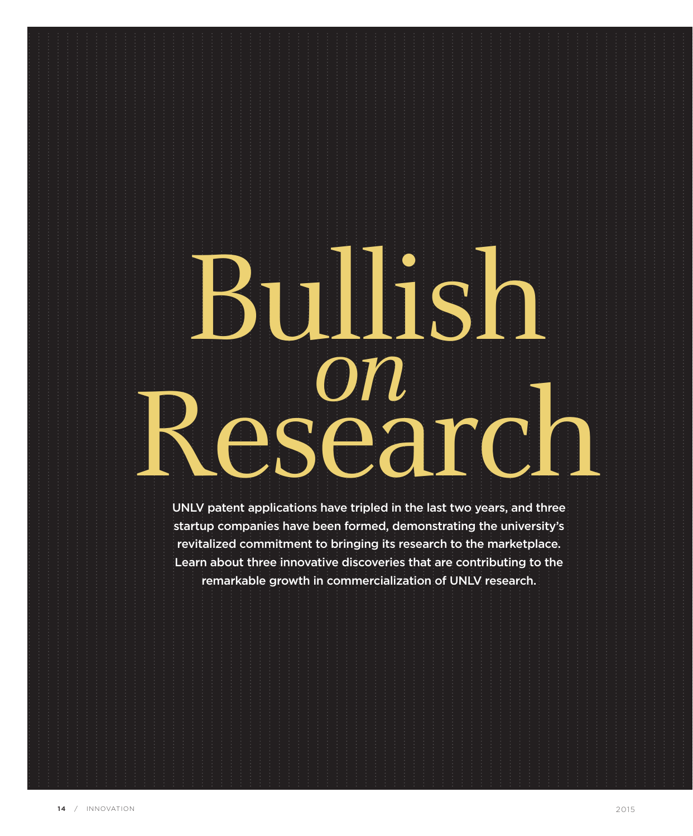## Bullish, Research *on*

UNLV patent applications have tripled in the last two years, and three startup companies have been formed, demonstrating the university's revitalized commitment to bringing its research to the marketplace. Learn about three innovative discoveries that are contributing to the remarkable growth in commercialization of UNLV research.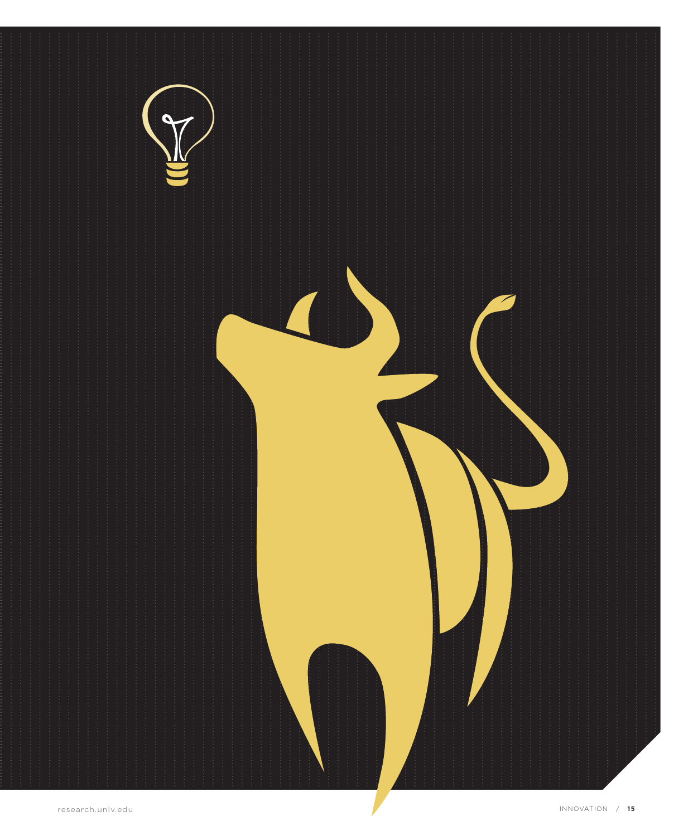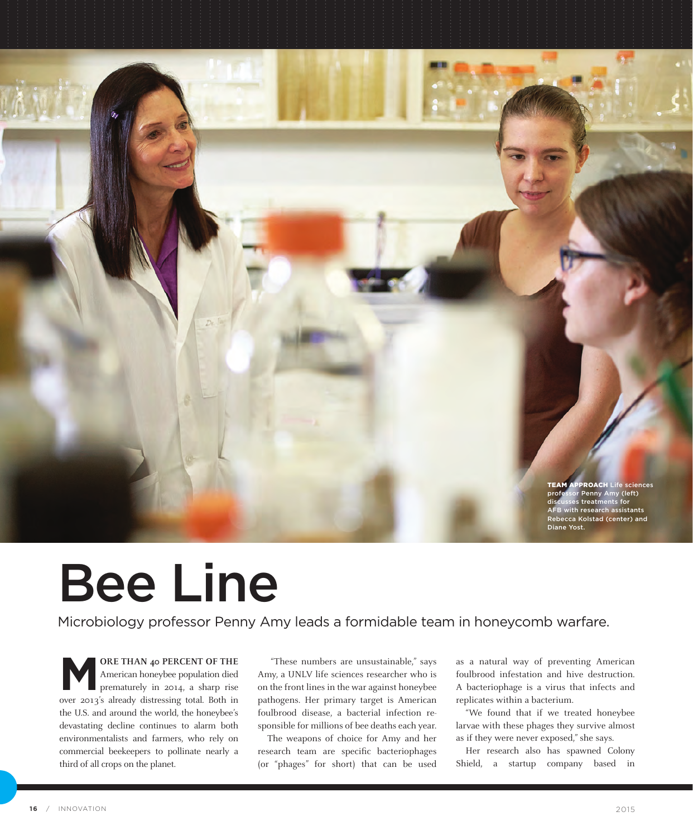

## Bee Line

Microbiology professor Penny Amy leads a formidable team in honeycomb warfare.

**MARK AND APPERCENT OF THE**<br>American honeybee population died<br>prematurely in 2014, a sharp rise American honeybee population died prematurely in 2014, a sharp rise over 2013's already distressing total. Both in the U.S. and around the world, the honeybee's devastating decline continues to alarm both environmentalists and farmers, who rely on commercial beekeepers to pollinate nearly a third of all crops on the planet.

 "These numbers are unsustainable," says Amy, a UNLV life sciences researcher who is on the front lines in the war against honeybee pathogens. Her primary target is American foulbrood disease, a bacterial infection responsible for millions of bee deaths each year.

The weapons of choice for Amy and her research team are specific bacteriophages (or "phages" for short) that can be used

as a natural way of preventing American foulbrood infestation and hive destruction. A bacteriophage is a virus that infects and replicates within a bacterium.

"We found that if we treated honeybee larvae with these phages they survive almost as if they were never exposed," she says.

Her research also has spawned Colony Shield, a startup company based in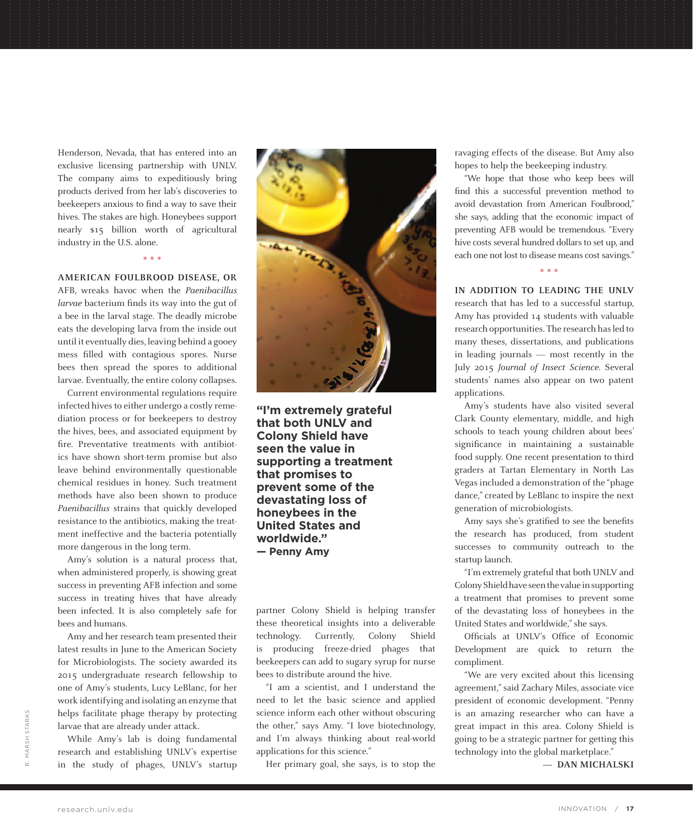Henderson, Nevada, that has entered into an exclusive licensing partnership with UNLV. The company aims to expeditiously bring products derived from her lab's discoveries to beekeepers anxious to find a way to save their hives. The stakes are high. Honeybees support nearly \$15 billion worth of agricultural industry in the U.S. alone.

\*\*\*

**AMERICAN FOULBROOD DISEASE, OR**  AFB, wreaks havoc when the *Paenibacillus larvae* bacterium finds its way into the gut of a bee in the larval stage. The deadly microbe eats the developing larva from the inside out until it eventually dies, leaving behind a gooey mess filled with contagious spores. Nurse bees then spread the spores to additional larvae. Eventually, the entire colony collapses.

Current environmental regulations require infected hives to either undergo a costly remediation process or for beekeepers to destroy the hives, bees, and associated equipment by fire. Preventative treatments with antibiotics have shown short-term promise but also leave behind environmentally questionable chemical residues in honey. Such treatment methods have also been shown to produce *Paenibacillus* strains that quickly developed resistance to the antibiotics, making the treatment ineffective and the bacteria potentially more dangerous in the long term.

Amy's solution is a natural process that, when administered properly, is showing great success in preventing AFB infection and some success in treating hives that have already been infected. It is also completely safe for bees and humans.

Amy and her research team presented their latest results in June to the American Society for Microbiologists. The society awarded its 2015 undergraduate research fellowship to one of Amy's students, Lucy LeBlanc, for her work identifying and isolating an enzyme that helps facilitate phage therapy by protecting larvae that are already under attack.

While Amy's lab is doing fundamental research and establishing UNLV's expertise in the study of phages, UNLV's startup



**"I'm extremely grateful that both UNLV and Colony Shield have seen the value in supporting a treatment that promises to prevent some of the devastating loss of honeybees in the United States and worldwide." — Penny Amy**

partner Colony Shield is helping transfer these theoretical insights into a deliverable technology. Currently, Colony Shield is producing freeze-dried phages that beekeepers can add to sugary syrup for nurse bees to distribute around the hive.

"I am a scientist, and I understand the need to let the basic science and applied science inform each other without obscuring the other," says Amy. "I love biotechnology, and I'm always thinking about real-world applications for this science."

Her primary goal, she says, is to stop the

ravaging effects of the disease. But Amy also hopes to help the beekeeping industry.

"We hope that those who keep bees will find this a successful prevention method to avoid devastation from American Foulbrood," she says, adding that the economic impact of preventing AFB would be tremendous. "Every hive costs several hundred dollars to set up, and each one not lost to disease means cost savings."

\*\*\*

**IN ADDITION TO LEADING THE UNLV** research that has led to a successful startup, Amy has provided 14 students with valuable research opportunities. The research has led to many theses, dissertations, and publications in leading journals — most recently in the July 2015 *Journal of Insect Science*. Several students' names also appear on two patent applications.

Amy's students have also visited several Clark County elementary, middle, and high schools to teach young children about bees' significance in maintaining a sustainable food supply. One recent presentation to third graders at Tartan Elementary in North Las Vegas included a demonstration of the "phage dance," created by LeBlanc to inspire the next generation of microbiologists.

Amy says she's gratified to see the benefits the research has produced, from student successes to community outreach to the startup launch.

"I'm extremely grateful that both UNLV and Colony Shield have seen the value in supporting a treatment that promises to prevent some of the devastating loss of honeybees in the United States and worldwide," she says.

Officials at UNLV's Office of Economic Development are quick to return the compliment.

"We are very excited about this licensing agreement," said Zachary Miles, associate vice president of economic development. "Penny is an amazing researcher who can have a great impact in this area. Colony Shield is going to be a strategic partner for getting this technology into the global marketplace."

**— DAN MICHALSKI**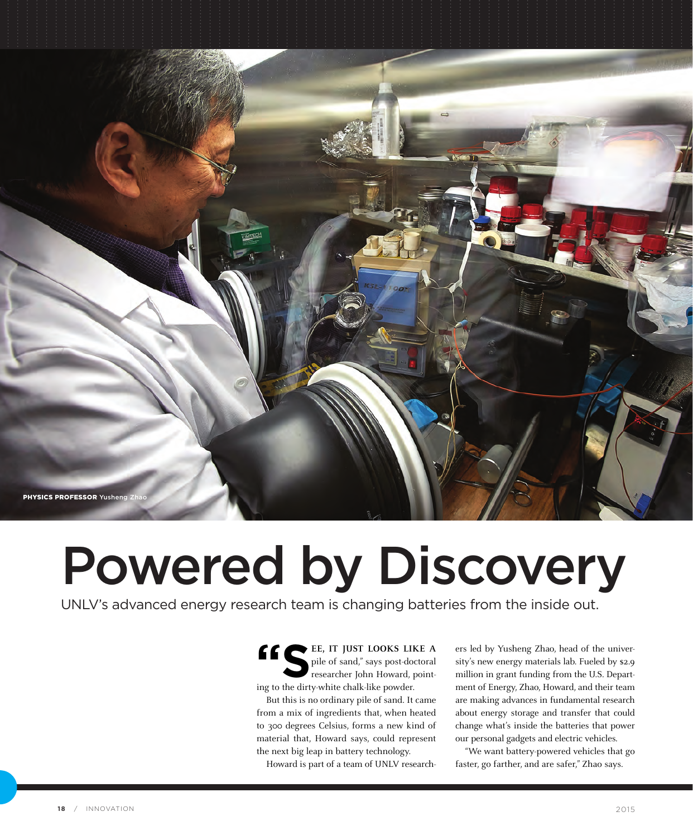

## Powered by Discovery

UNLV's advanced energy research team is changing batteries from the inside out.

**f C** EE, IT JUST LOOKS LIKE A pile of sand," says post-doctoral researcher John Howard, pointpile of sand," says post-doctoral researcher John Howard, pointing to the dirty-white chalk-like powder.

But this is no ordinary pile of sand. It came from a mix of ingredients that, when heated to 300 degrees Celsius, forms a new kind of material that, Howard says, could represent the next big leap in battery technology.

Howard is part of a team of UNLV research-

ers led by Yusheng Zhao, head of the university's new energy materials lab. Fueled by \$2.9 million in grant funding from the U.S. Department of Energy, Zhao, Howard, and their team are making advances in fundamental research about energy storage and transfer that could change what's inside the batteries that power our personal gadgets and electric vehicles.

"We want battery-powered vehicles that go faster, go farther, and are safer," Zhao says.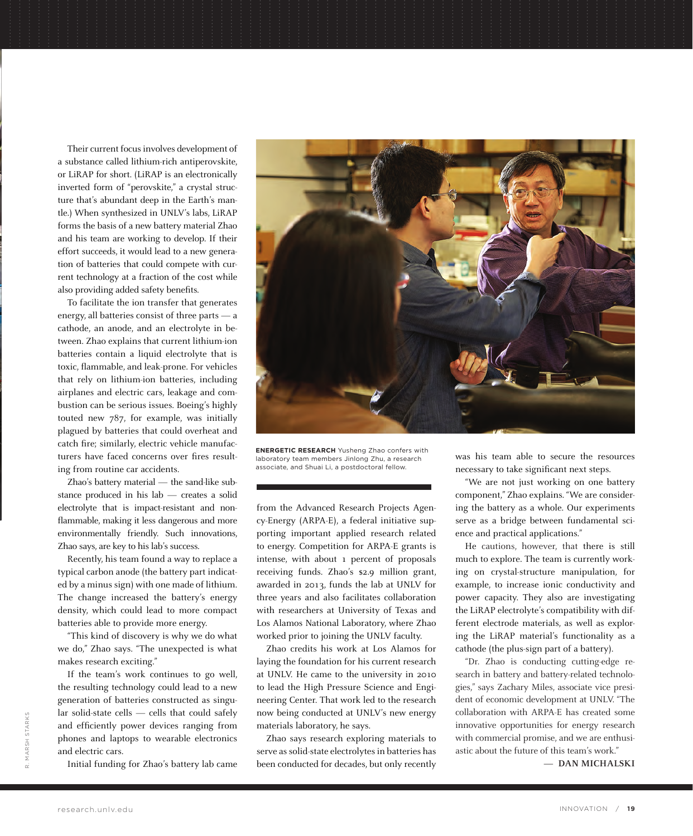Their current focus involves development of a substance called lithium-rich antiperovskite, or LiRAP for short. (LiRAP is an electronically inverted form of "perovskite," a crystal structure that's abundant deep in the Earth's mantle.) When synthesized in UNLV's labs, LiRAP forms the basis of a new battery material Zhao and his team are working to develop. If their effort succeeds, it would lead to a new generation of batteries that could compete with current technology at a fraction of the cost while also providing added safety benefits.

To facilitate the ion transfer that generates energy, all batteries consist of three parts — a cathode, an anode, and an electrolyte in between. Zhao explains that current lithium-ion batteries contain a liquid electrolyte that is toxic, flammable, and leak-prone. For vehicles that rely on lithium-ion batteries, including airplanes and electric cars, leakage and combustion can be serious issues. Boeing's highly touted new 787, for example, was initially plagued by batteries that could overheat and catch fire; similarly, electric vehicle manufacturers have faced concerns over fires resulting from routine car accidents.

Zhao's battery material — the sand-like substance produced in his lab — creates a solid electrolyte that is impact-resistant and nonflammable, making it less dangerous and more environmentally friendly. Such innovations, Zhao says, are key to his lab's success.

Recently, his team found a way to replace a typical carbon anode (the battery part indicated by a minus sign) with one made of lithium. The change increased the battery's energy density, which could lead to more compact batteries able to provide more energy.

"This kind of discovery is why we do what we do," Zhao says. "The unexpected is what makes research exciting."

If the team's work continues to go well, the resulting technology could lead to a new generation of batteries constructed as singular solid-state cells — cells that could safely and efficiently power devices ranging from phones and laptops to wearable electronics and electric cars.

Initial funding for Zhao's battery lab came



**ENERGETIC RESEARCH** Yusheng Zhao confers with laboratory team members Jinlong Zhu, a research associate, and Shuai Li, a postdoctoral fellow.

from the Advanced Research Projects Agency-Energy (ARPA-E), a federal initiative supporting important applied research related to energy. Competition for ARPA-E grants is intense, with about 1 percent of proposals receiving funds. Zhao's \$2.9 million grant, awarded in 2013, funds the lab at UNLV for three years and also facilitates collaboration with researchers at University of Texas and Los Alamos National Laboratory, where Zhao worked prior to joining the UNLV faculty.

Zhao credits his work at Los Alamos for laying the foundation for his current research at UNLV. He came to the university in 2010 to lead the High Pressure Science and Engineering Center. That work led to the research now being conducted at UNLV's new energy materials laboratory, he says.

Zhao says research exploring materials to serve as solid-state electrolytes in batteries has been conducted for decades, but only recently

was his team able to secure the resources necessary to take significant next steps.

"We are not just working on one battery component," Zhao explains. "We are considering the battery as a whole. Our experiments serve as a bridge between fundamental science and practical applications."

He cautions, however, that there is still much to explore. The team is currently working on crystal-structure manipulation, for example, to increase ionic conductivity and power capacity. They also are investigating the LiRAP electrolyte's compatibility with different electrode materials, as well as exploring the LiRAP material's functionality as a cathode (the plus-sign part of a battery).

"Dr. Zhao is conducting cutting-edge research in battery and battery-related technologies," says Zachary Miles, associate vice president of economic development at UNLV. "The collaboration with ARPA-E has created some innovative opportunities for energy research with commercial promise, and we are enthusiastic about the future of this team's work."

**— DAN MICHALSKI**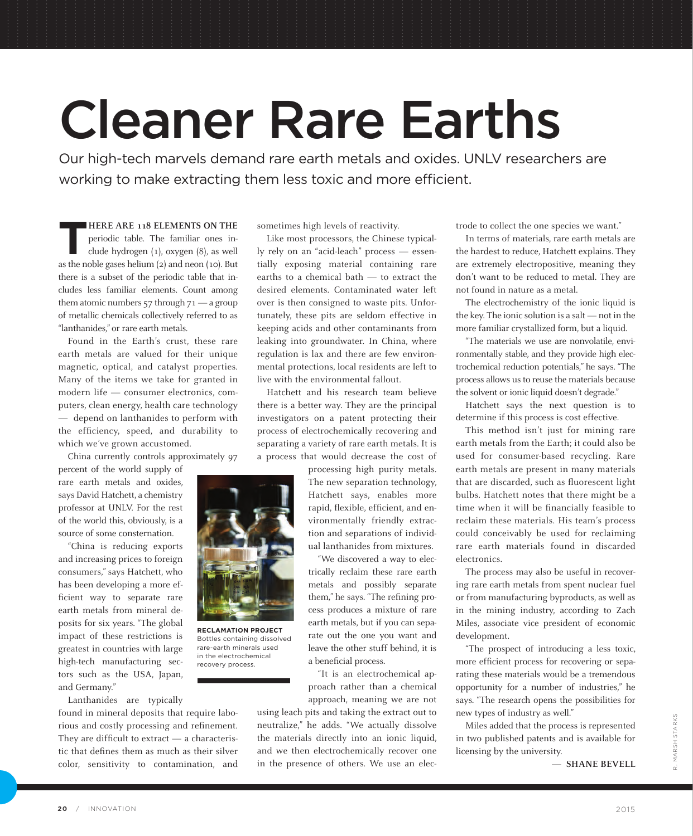## Cleaner Rare Earths

Our high-tech marvels demand rare earth metals and oxides. UNLV researchers are working to make extracting them less toxic and more efficient.

**THERE ARE 118 ELEMENTS ON THE**<br>
periodic table. The familiar ones in-<br>
clude hydrogen (1), oxygen (8), as well periodic table. The familiar ones inas the noble gases helium (2) and neon (10). But there is a subset of the periodic table that includes less familiar elements. Count among them atomic numbers  $57$  through  $71$  — a group of metallic chemicals collectively referred to as "lanthanides," or rare earth metals.

Found in the Earth's crust, these rare earth metals are valued for their unique magnetic, optical, and catalyst properties. Many of the items we take for granted in modern life — consumer electronics, computers, clean energy, health care technology — depend on lanthanides to perform with the efficiency, speed, and durability to which we've grown accustomed.

China currently controls approximately 97

percent of the world supply of rare earth metals and oxides, says David Hatchett, a chemistry professor at UNLV. For the rest of the world this, obviously, is a source of some consternation.

"China is reducing exports and increasing prices to foreign consumers," says Hatchett, who has been developing a more efficient way to separate rare earth metals from mineral deposits for six years. "The global impact of these restrictions is greatest in countries with large high-tech manufacturing sectors such as the USA, Japan, and Germany."

Lanthanides are typically

found in mineral deposits that require laborious and costly processing and refinement. They are difficult to extract — a characteristic that defines them as much as their silver color, sensitivity to contamination, and

sometimes high levels of reactivity.

Like most processors, the Chinese typically rely on an "acid-leach" process — essentially exposing material containing rare earths to a chemical bath — to extract the desired elements. Contaminated water left over is then consigned to waste pits. Unfortunately, these pits are seldom effective in keeping acids and other contaminants from leaking into groundwater. In China, where regulation is lax and there are few environmental protections, local residents are left to live with the environmental fallout.

Hatchett and his research team believe there is a better way. They are the principal investigators on a patent protecting their process of electrochemically recovering and separating a variety of rare earth metals. It is a process that would decrease the cost of

> processing high purity metals. The new separation technology, Hatchett says, enables more rapid, flexible, efficient, and environmentally friendly extraction and separations of individual lanthanides from mixtures.

"We discovered a way to electrically reclaim these rare earth metals and possibly separate them," he says. "The refining process produces a mixture of rare earth metals, but if you can separate out the one you want and leave the other stuff behind, it is a beneficial process.

"It is an electrochemical approach rather than a chemical approach, meaning we are not

using leach pits and taking the extract out to neutralize," he adds. "We actually dissolve the materials directly into an ionic liquid, and we then electrochemically recover one in the presence of others. We use an electrode to collect the one species we want."

In terms of materials, rare earth metals are the hardest to reduce, Hatchett explains. They are extremely electropositive, meaning they don't want to be reduced to metal. They are not found in nature as a metal.

The electrochemistry of the ionic liquid is the key. The ionic solution is a salt — not in the more familiar crystallized form, but a liquid.

"The materials we use are nonvolatile, environmentally stable, and they provide high electrochemical reduction potentials," he says. "The process allows us to reuse the materials because the solvent or ionic liquid doesn't degrade."

Hatchett says the next question is to determine if this process is cost effective.

This method isn't just for mining rare earth metals from the Earth; it could also be used for consumer-based recycling. Rare earth metals are present in many materials that are discarded, such as fluorescent light bulbs. Hatchett notes that there might be a time when it will be financially feasible to reclaim these materials. His team's process could conceivably be used for reclaiming rare earth materials found in discarded electronics.

The process may also be useful in recovering rare earth metals from spent nuclear fuel or from manufacturing byproducts, as well as in the mining industry, according to Zach Miles, associate vice president of economic development.

"The prospect of introducing a less toxic, more efficient process for recovering or separating these materials would be a tremendous opportunity for a number of industries," he says. "The research opens the possibilities for new types of industry as well."

Miles added that the process is represented in two published patents and is available for licensing by the university.

**— SHANE BEVELL**



**RECLAMATION PROJECT** Bottles containing dissolved rare-earth minerals used in the electrochemical recovery process.

R. MARSH STARKS

R. MARSH STARKS